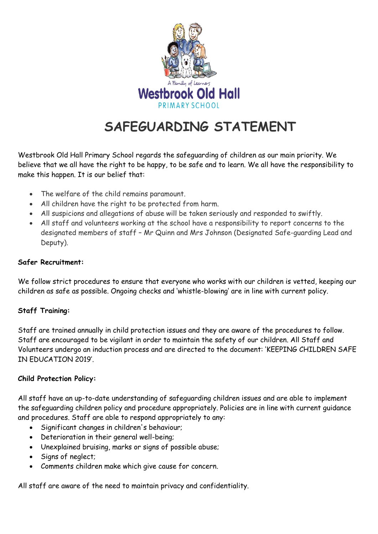

# **SAFEGUARDING STATEMENT**

Westbrook Old Hall Primary School regards the safeguarding of children as our main priority. We believe that we all have the right to be happy, to be safe and to learn. We all have the responsibility to make this happen. It is our belief that:

- The welfare of the child remains paramount.
- All children have the right to be protected from harm.
- All suspicions and allegations of abuse will be taken seriously and responded to swiftly.
- All staff and volunteers working at the school have a responsibility to report concerns to the designated members of staff – Mr Quinn and Mrs Johnson (Designated Safe-guarding Lead and Deputy).

## **Safer Recruitment:**

We follow strict procedures to ensure that everyone who works with our children is vetted, keeping our children as safe as possible. Ongoing checks and 'whistle-blowing' are in line with current policy.

## **Staff Training:**

Staff are trained annually in child protection issues and they are aware of the procedures to follow. Staff are encouraged to be vigilant in order to maintain the safety of our children. All Staff and Volunteers undergo an induction process and are directed to the document: 'KEEPING CHILDREN SAFE IN EDUCATION 2019'.

## **Child Protection Policy:**

All staff have an up-to-date understanding of safeguarding children issues and are able to implement the safeguarding children policy and procedure appropriately. Policies are in line with current guidance and procedures. Staff are able to respond appropriately to any:

- Significant changes in children's behaviour;
- Deterioration in their general well-being;
- Unexplained bruising, marks or signs of possible abuse;
- Signs of neglect;
- Comments children make which give cause for concern.

All staff are aware of the need to maintain privacy and confidentiality.